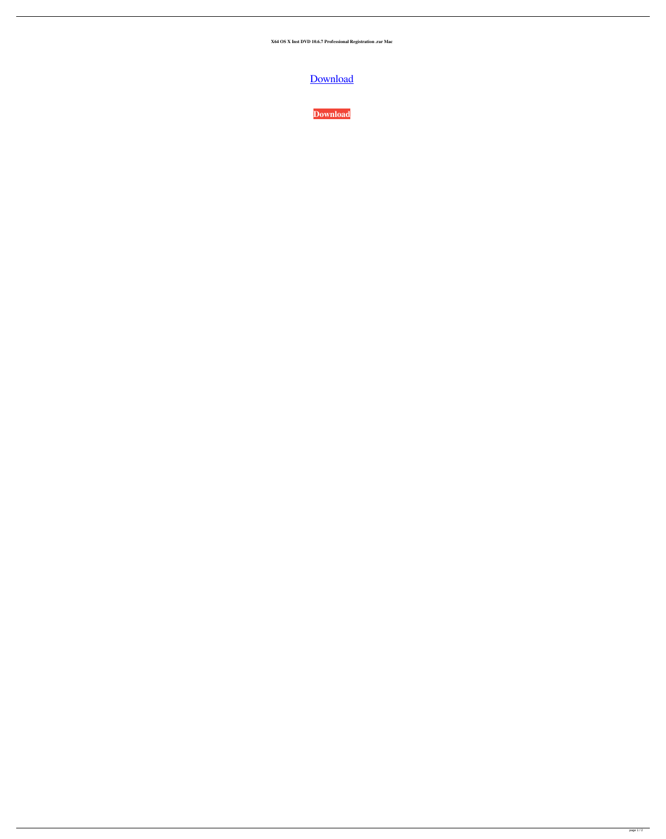**X64 OS X Inst DVD 10.6.7 Professional Registration .rar Mac**



**[Download](http://evacdir.com/sechio/TWFjIE9TIFggSW5zdGFsbCBEVkQgMTAuNi43LmRtZwTWF/neccessary/thrilled/=ZG93bmxvYWR8Qk45Ykc1aWZId3hOalV5TnpRd09EWTJmSHd5TlRjMGZId29UU2tnY21WaFpDMWliRzluSUZ0R1lYTjBJRWRGVGww.splitted)**